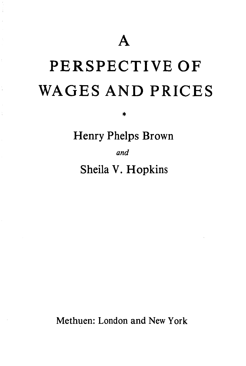## PERSPECTIVE OF WAGES AND PRICES

\*

Henry Phelps Brown

*and* 

Sheila V. Hopkins

Methuen: London and New York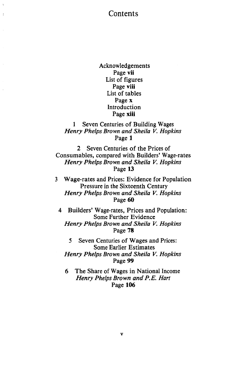## Contents

Ť

Acknowledgements Page vii List of figures Page viii List of tables Page x Introduction Page xiii

1 Seven Centuries of Building Wages *Henry Phelps Brown and Sheila V. Hopkins*  Page 1

2 Seven Centuries of the Prices of Consumables, compared with Builders' Wage-rates *Henry Phelps Brown and Sheila V. Hopkins*  Page 13

3 Wage-rates and Prices: Evidence for Population Pressure in the Sixteenth Century *Henry Phelps Brown and Sheila V. Hopkins*  Page 60

4 Builders' Wage-rates, Prices and Population: Some Further Evidence *Henry Phelps Brown and Sheila V. Hopkins*  Page 78

5 Seven Centuries of Wages and Prices: Some Earlier Estimates *Henry Phelps Brown and Sheila V. Hopkins*  Page 99

6 The Share of Wages in National Income *Henry Phelps Brown and P.E. Hart*  Page 106